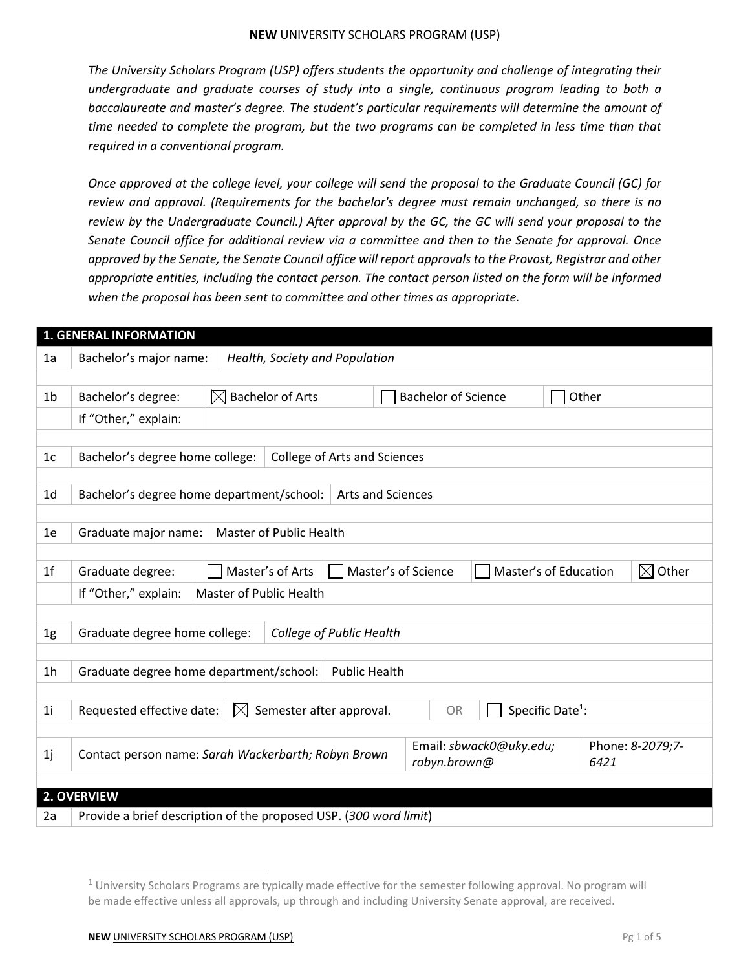#### **NEW** UNIVERSITY SCHOLARS PROGRAM (USP)

*The University Scholars Program (USP) offers students the opportunity and challenge of integrating their undergraduate and graduate courses of study into a single, continuous program leading to both a baccalaureate and master's degree. The student's particular requirements will determine the amount of time needed to complete the program, but the two programs can be completed in less time than that required in a conventional program.*

*Once approved at the college level, your college will send the proposal to the Graduate Council (GC) for review and approval. (Requirements for the bachelor's degree must remain unchanged, so there is no review by the Undergraduate Council.) After approval by the GC, the GC will send your proposal to the Senate Council office for additional review via a committee and then to the Senate for approval. Once approved by the Senate, the Senate Council office will report approvals to the Provost, Registrar and other appropriate entities, including the contact person. The contact person listed on the form will be informed when the proposal has been sent to committee and other times as appropriate.*

|                | <b>1. GENERAL INFORMATION</b>                                                                                     |  |                                     |  |  |                                     |                         |  |      |                      |
|----------------|-------------------------------------------------------------------------------------------------------------------|--|-------------------------------------|--|--|-------------------------------------|-------------------------|--|------|----------------------|
| 1a             | Bachelor's major name:                                                                                            |  | Health, Society and Population      |  |  |                                     |                         |  |      |                      |
|                |                                                                                                                   |  |                                     |  |  |                                     |                         |  |      |                      |
| 1 <sub>b</sub> | Bachelor's degree:                                                                                                |  | $\boxtimes$ Bachelor of Arts        |  |  | <b>Bachelor of Science</b><br>Other |                         |  |      |                      |
|                | If "Other," explain:                                                                                              |  |                                     |  |  |                                     |                         |  |      |                      |
|                |                                                                                                                   |  |                                     |  |  |                                     |                         |  |      |                      |
| 1 <sub>c</sub> | Bachelor's degree home college:                                                                                   |  | <b>College of Arts and Sciences</b> |  |  |                                     |                         |  |      |                      |
|                |                                                                                                                   |  |                                     |  |  |                                     |                         |  |      |                      |
| 1 <sub>d</sub> | Bachelor's degree home department/school:<br><b>Arts and Sciences</b>                                             |  |                                     |  |  |                                     |                         |  |      |                      |
|                |                                                                                                                   |  |                                     |  |  |                                     |                         |  |      |                      |
| 1e             | Graduate major name:                                                                                              |  | Master of Public Health             |  |  |                                     |                         |  |      |                      |
|                |                                                                                                                   |  |                                     |  |  |                                     |                         |  |      |                      |
| 1 <sup>f</sup> | Graduate degree:                                                                                                  |  | Master's of Arts                    |  |  | Master's of Science                 | Master's of Education   |  |      | $\boxtimes$<br>Other |
|                | If "Other," explain:<br>Master of Public Health                                                                   |  |                                     |  |  |                                     |                         |  |      |                      |
|                |                                                                                                                   |  |                                     |  |  |                                     |                         |  |      |                      |
| 1g             | Graduate degree home college:<br>College of Public Health                                                         |  |                                     |  |  |                                     |                         |  |      |                      |
|                |                                                                                                                   |  |                                     |  |  |                                     |                         |  |      |                      |
| 1 <sub>h</sub> | Graduate degree home department/school:<br><b>Public Health</b>                                                   |  |                                     |  |  |                                     |                         |  |      |                      |
|                |                                                                                                                   |  |                                     |  |  |                                     |                         |  |      |                      |
| 1i             | Specific Date <sup>1</sup> :<br>$\boxtimes$<br>Semester after approval.<br>Requested effective date:<br><b>OR</b> |  |                                     |  |  |                                     |                         |  |      |                      |
|                |                                                                                                                   |  |                                     |  |  |                                     |                         |  |      |                      |
| 1j             | Contact person name: Sarah Wackerbarth; Robyn Brown                                                               |  |                                     |  |  |                                     | Email: sbwack0@uky.edu; |  |      | Phone: 8-2079;7-     |
|                |                                                                                                                   |  |                                     |  |  | robyn.brown@                        |                         |  | 6421 |                      |
|                |                                                                                                                   |  |                                     |  |  |                                     |                         |  |      |                      |
|                | 2. OVERVIEW                                                                                                       |  |                                     |  |  |                                     |                         |  |      |                      |
| 2a             | Provide a brief description of the proposed USP. (300 word limit)                                                 |  |                                     |  |  |                                     |                         |  |      |                      |

 $1$  University Scholars Programs are typically made effective for the semester following approval. No program will be made effective unless all approvals, up through and including University Senate approval, are received.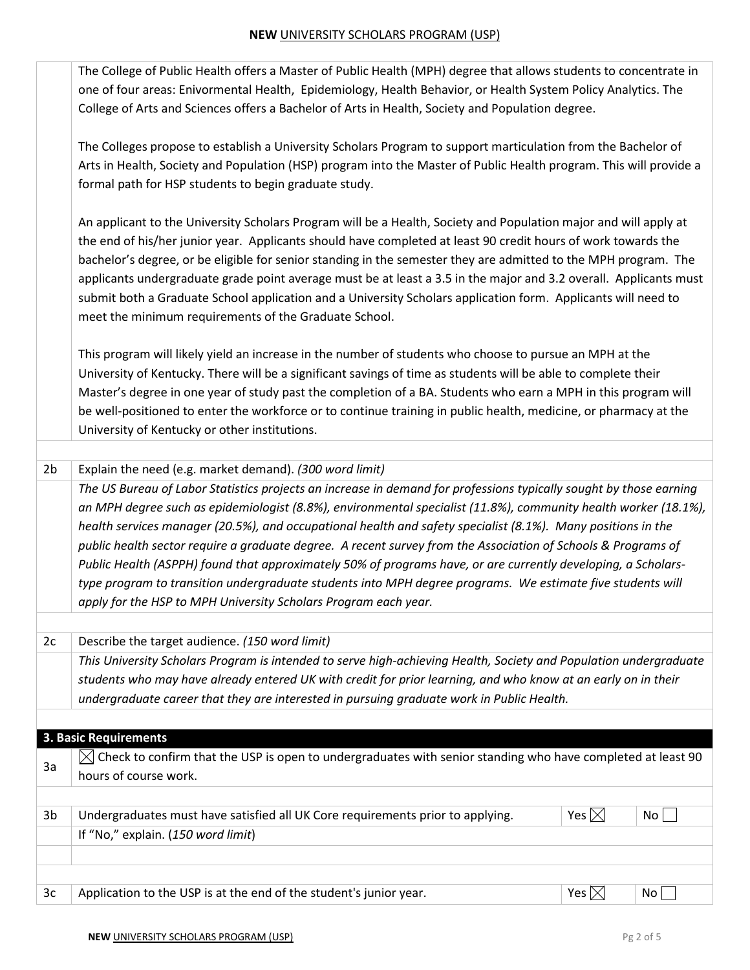|                | The College of Public Health offers a Master of Public Health (MPH) degree that allows students to concentrate in<br>one of four areas: Enivormental Health, Epidemiology, Health Behavior, or Health System Policy Analytics. The<br>College of Arts and Sciences offers a Bachelor of Arts in Health, Society and Population degree.                                                                                                                                                                                                                                                                                                                                                                                                                                   |                 |                 |
|----------------|--------------------------------------------------------------------------------------------------------------------------------------------------------------------------------------------------------------------------------------------------------------------------------------------------------------------------------------------------------------------------------------------------------------------------------------------------------------------------------------------------------------------------------------------------------------------------------------------------------------------------------------------------------------------------------------------------------------------------------------------------------------------------|-----------------|-----------------|
|                | The Colleges propose to establish a University Scholars Program to support marticulation from the Bachelor of<br>Arts in Health, Society and Population (HSP) program into the Master of Public Health program. This will provide a<br>formal path for HSP students to begin graduate study.                                                                                                                                                                                                                                                                                                                                                                                                                                                                             |                 |                 |
|                | An applicant to the University Scholars Program will be a Health, Society and Population major and will apply at<br>the end of his/her junior year. Applicants should have completed at least 90 credit hours of work towards the<br>bachelor's degree, or be eligible for senior standing in the semester they are admitted to the MPH program. The<br>applicants undergraduate grade point average must be at least a 3.5 in the major and 3.2 overall. Applicants must<br>submit both a Graduate School application and a University Scholars application form. Applicants will need to<br>meet the minimum requirements of the Graduate School.                                                                                                                      |                 |                 |
|                | This program will likely yield an increase in the number of students who choose to pursue an MPH at the<br>University of Kentucky. There will be a significant savings of time as students will be able to complete their<br>Master's degree in one year of study past the completion of a BA. Students who earn a MPH in this program will<br>be well-positioned to enter the workforce or to continue training in public health, medicine, or pharmacy at the<br>University of Kentucky or other institutions.                                                                                                                                                                                                                                                         |                 |                 |
| 2 <sub>b</sub> | Explain the need (e.g. market demand). (300 word limit)                                                                                                                                                                                                                                                                                                                                                                                                                                                                                                                                                                                                                                                                                                                  |                 |                 |
|                | The US Bureau of Labor Statistics projects an increase in demand for professions typically sought by those earning<br>an MPH degree such as epidemiologist (8.8%), environmental specialist (11.8%), community health worker (18.1%),<br>health services manager (20.5%), and occupational health and safety specialist (8.1%). Many positions in the<br>public health sector require a graduate degree. A recent survey from the Association of Schools & Programs of<br>Public Health (ASPPH) found that approximately 50% of programs have, or are currently developing, a Scholars-<br>type program to transition undergraduate students into MPH degree programs. We estimate five students will<br>apply for the HSP to MPH University Scholars Program each year. |                 |                 |
| 2c             | Describe the target audience. (150 word limit)                                                                                                                                                                                                                                                                                                                                                                                                                                                                                                                                                                                                                                                                                                                           |                 |                 |
|                | This University Scholars Program is intended to serve high-achieving Health, Society and Population undergraduate<br>students who may have already entered UK with credit for prior learning, and who know at an early on in their<br>undergraduate career that they are interested in pursuing graduate work in Public Health.                                                                                                                                                                                                                                                                                                                                                                                                                                          |                 |                 |
|                |                                                                                                                                                                                                                                                                                                                                                                                                                                                                                                                                                                                                                                                                                                                                                                          |                 |                 |
|                | 3. Basic Requirements                                                                                                                                                                                                                                                                                                                                                                                                                                                                                                                                                                                                                                                                                                                                                    |                 |                 |
| За             | Check to confirm that the USP is open to undergraduates with senior standing who have completed at least 90<br>IXI<br>hours of course work.                                                                                                                                                                                                                                                                                                                                                                                                                                                                                                                                                                                                                              |                 |                 |
| 3b             | Undergraduates must have satisfied all UK Core requirements prior to applying.                                                                                                                                                                                                                                                                                                                                                                                                                                                                                                                                                                                                                                                                                           | Yes $\boxtimes$ | No <sub>1</sub> |
|                | If "No," explain. (150 word limit)                                                                                                                                                                                                                                                                                                                                                                                                                                                                                                                                                                                                                                                                                                                                       |                 |                 |
|                |                                                                                                                                                                                                                                                                                                                                                                                                                                                                                                                                                                                                                                                                                                                                                                          |                 |                 |
|                |                                                                                                                                                                                                                                                                                                                                                                                                                                                                                                                                                                                                                                                                                                                                                                          |                 |                 |
| 3c             | Application to the USP is at the end of the student's junior year.                                                                                                                                                                                                                                                                                                                                                                                                                                                                                                                                                                                                                                                                                                       | Yes $\boxtimes$ | No              |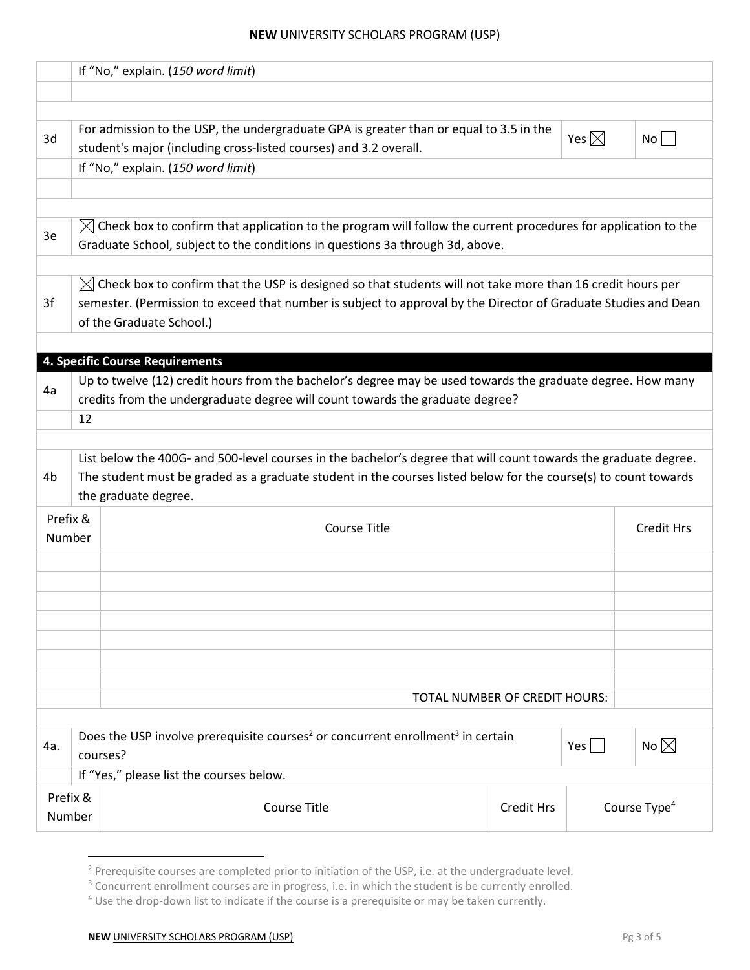#### **NEW** UNIVERSITY SCHOLARS PROGRAM (USP)

|                                                                                                                                                       |                                                                                                                                                                                                                                                                       | If "No," explain. (150 word limit)       |                   |                   |                          |  |  |  |
|-------------------------------------------------------------------------------------------------------------------------------------------------------|-----------------------------------------------------------------------------------------------------------------------------------------------------------------------------------------------------------------------------------------------------------------------|------------------------------------------|-------------------|-------------------|--------------------------|--|--|--|
|                                                                                                                                                       |                                                                                                                                                                                                                                                                       |                                          |                   |                   |                          |  |  |  |
| 3d                                                                                                                                                    | For admission to the USP, the undergraduate GPA is greater than or equal to 3.5 in the<br>Yes $\boxtimes$<br>No<br>student's major (including cross-listed courses) and 3.2 overall.<br>If "No," explain. (150 word limit)                                            |                                          |                   |                   |                          |  |  |  |
|                                                                                                                                                       |                                                                                                                                                                                                                                                                       |                                          |                   |                   |                          |  |  |  |
| 3e                                                                                                                                                    | $\boxtimes$ Check box to confirm that application to the program will follow the current procedures for application to the<br>Graduate School, subject to the conditions in questions 3a through 3d, above.                                                           |                                          |                   |                   |                          |  |  |  |
| 3f                                                                                                                                                    | $\boxtimes$ Check box to confirm that the USP is designed so that students will not take more than 16 credit hours per<br>semester. (Permission to exceed that number is subject to approval by the Director of Graduate Studies and Dean<br>of the Graduate School.) |                                          |                   |                   |                          |  |  |  |
|                                                                                                                                                       |                                                                                                                                                                                                                                                                       | <b>4. Specific Course Requirements</b>   |                   |                   |                          |  |  |  |
| 4a                                                                                                                                                    | Up to twelve (12) credit hours from the bachelor's degree may be used towards the graduate degree. How many<br>credits from the undergraduate degree will count towards the graduate degree?<br>12                                                                    |                                          |                   |                   |                          |  |  |  |
| 4b                                                                                                                                                    | List below the 400G- and 500-level courses in the bachelor's degree that will count towards the graduate degree.<br>The student must be graded as a graduate student in the courses listed below for the course(s) to count towards<br>the graduate degree.           |                                          |                   |                   |                          |  |  |  |
| Prefix &<br><b>Course Title</b><br>Number                                                                                                             |                                                                                                                                                                                                                                                                       |                                          |                   | <b>Credit Hrs</b> |                          |  |  |  |
|                                                                                                                                                       |                                                                                                                                                                                                                                                                       |                                          |                   |                   |                          |  |  |  |
|                                                                                                                                                       |                                                                                                                                                                                                                                                                       | TOTAL NUMBER OF CREDIT HOURS:            |                   |                   |                          |  |  |  |
| Does the USP involve prerequisite courses <sup>2</sup> or concurrent enrollment <sup>3</sup> in certain<br>No $\boxtimes$<br>Yes  <br>4a.<br>courses? |                                                                                                                                                                                                                                                                       |                                          |                   |                   |                          |  |  |  |
|                                                                                                                                                       |                                                                                                                                                                                                                                                                       | If "Yes," please list the courses below. |                   |                   |                          |  |  |  |
| Prefix &<br>Number                                                                                                                                    |                                                                                                                                                                                                                                                                       | <b>Course Title</b>                      | <b>Credit Hrs</b> |                   | Course Type <sup>4</sup> |  |  |  |

<sup>&</sup>lt;sup>2</sup> Prerequisite courses are completed prior to initiation of the USP, i.e. at the undergraduate level.

<sup>&</sup>lt;sup>3</sup> Concurrent enrollment courses are in progress, i.e. in which the student is be currently enrolled.

<sup>&</sup>lt;sup>4</sup> Use the drop-down list to indicate if the course is a prerequisite or may be taken currently.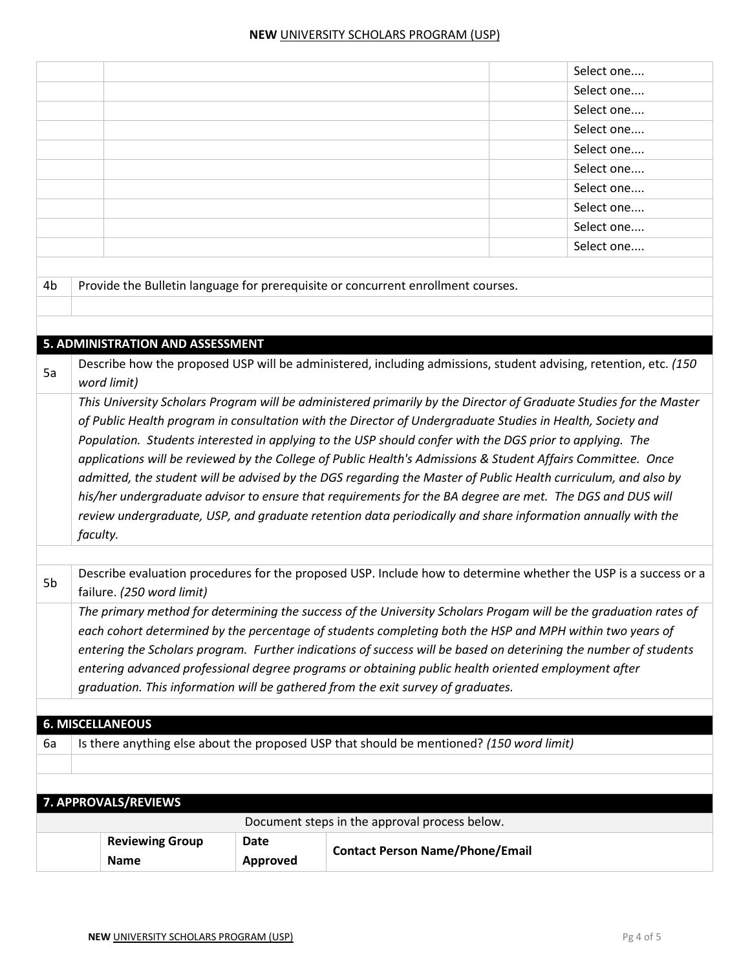| 6a | <b>6. MISCELLANEOUS</b><br>7. APPROVALS/REVIEWS<br><b>Reviewing Group</b>                                                                                                                                                                                                                                                                              | Date                                                                             | Is there anything else about the proposed USP that should be mentioned? (150 word limit)<br>Document steps in the approval process below.<br><b>Contact Person Name/Phone/Email</b>                                    |  |  |  |  |  |
|----|--------------------------------------------------------------------------------------------------------------------------------------------------------------------------------------------------------------------------------------------------------------------------------------------------------------------------------------------------------|----------------------------------------------------------------------------------|------------------------------------------------------------------------------------------------------------------------------------------------------------------------------------------------------------------------|--|--|--|--|--|
|    |                                                                                                                                                                                                                                                                                                                                                        |                                                                                  |                                                                                                                                                                                                                        |  |  |  |  |  |
|    |                                                                                                                                                                                                                                                                                                                                                        |                                                                                  |                                                                                                                                                                                                                        |  |  |  |  |  |
|    |                                                                                                                                                                                                                                                                                                                                                        |                                                                                  |                                                                                                                                                                                                                        |  |  |  |  |  |
|    |                                                                                                                                                                                                                                                                                                                                                        |                                                                                  |                                                                                                                                                                                                                        |  |  |  |  |  |
|    |                                                                                                                                                                                                                                                                                                                                                        |                                                                                  |                                                                                                                                                                                                                        |  |  |  |  |  |
|    |                                                                                                                                                                                                                                                                                                                                                        |                                                                                  |                                                                                                                                                                                                                        |  |  |  |  |  |
|    |                                                                                                                                                                                                                                                                                                                                                        | graduation. This information will be gathered from the exit survey of graduates. |                                                                                                                                                                                                                        |  |  |  |  |  |
|    |                                                                                                                                                                                                                                                                                                                                                        |                                                                                  | entering advanced professional degree programs or obtaining public health oriented employment after                                                                                                                    |  |  |  |  |  |
|    |                                                                                                                                                                                                                                                                                                                                                        |                                                                                  | entering the Scholars program. Further indications of success will be based on deterining the number of students                                                                                                       |  |  |  |  |  |
|    |                                                                                                                                                                                                                                                                                                                                                        |                                                                                  | each cohort determined by the percentage of students completing both the HSP and MPH within two years of                                                                                                               |  |  |  |  |  |
|    |                                                                                                                                                                                                                                                                                                                                                        |                                                                                  | The primary method for determining the success of the University Scholars Progam will be the graduation rates of                                                                                                       |  |  |  |  |  |
| 5b | failure. (250 word limit)                                                                                                                                                                                                                                                                                                                              |                                                                                  | Describe evaluation procedures for the proposed USP. Include how to determine whether the USP is a success or a                                                                                                        |  |  |  |  |  |
|    |                                                                                                                                                                                                                                                                                                                                                        |                                                                                  |                                                                                                                                                                                                                        |  |  |  |  |  |
|    | admitted, the student will be advised by the DGS regarding the Master of Public Health curriculum, and also by<br>his/her undergraduate advisor to ensure that requirements for the BA degree are met. The DGS and DUS will<br>review undergraduate, USP, and graduate retention data periodically and share information annually with the<br>faculty. |                                                                                  |                                                                                                                                                                                                                        |  |  |  |  |  |
|    |                                                                                                                                                                                                                                                                                                                                                        |                                                                                  | applications will be reviewed by the College of Public Health's Admissions & Student Affairs Committee. Once                                                                                                           |  |  |  |  |  |
|    |                                                                                                                                                                                                                                                                                                                                                        |                                                                                  | of Public Health program in consultation with the Director of Undergraduate Studies in Health, Society and<br>Population. Students interested in applying to the USP should confer with the DGS prior to applying. The |  |  |  |  |  |
|    |                                                                                                                                                                                                                                                                                                                                                        |                                                                                  | This University Scholars Program will be administered primarily by the Director of Graduate Studies for the Master                                                                                                     |  |  |  |  |  |
|    | word limit)                                                                                                                                                                                                                                                                                                                                            |                                                                                  |                                                                                                                                                                                                                        |  |  |  |  |  |
| 5a |                                                                                                                                                                                                                                                                                                                                                        |                                                                                  | Describe how the proposed USP will be administered, including admissions, student advising, retention, etc. (150                                                                                                       |  |  |  |  |  |
|    | 5. ADMINISTRATION AND ASSESSMENT                                                                                                                                                                                                                                                                                                                       |                                                                                  |                                                                                                                                                                                                                        |  |  |  |  |  |
|    |                                                                                                                                                                                                                                                                                                                                                        |                                                                                  |                                                                                                                                                                                                                        |  |  |  |  |  |
| 4b |                                                                                                                                                                                                                                                                                                                                                        |                                                                                  | Provide the Bulletin language for prerequisite or concurrent enrollment courses.                                                                                                                                       |  |  |  |  |  |
|    |                                                                                                                                                                                                                                                                                                                                                        |                                                                                  |                                                                                                                                                                                                                        |  |  |  |  |  |
|    |                                                                                                                                                                                                                                                                                                                                                        |                                                                                  | Select one                                                                                                                                                                                                             |  |  |  |  |  |
|    |                                                                                                                                                                                                                                                                                                                                                        |                                                                                  | Select one                                                                                                                                                                                                             |  |  |  |  |  |
|    |                                                                                                                                                                                                                                                                                                                                                        |                                                                                  | Select one                                                                                                                                                                                                             |  |  |  |  |  |
|    |                                                                                                                                                                                                                                                                                                                                                        |                                                                                  | Select one                                                                                                                                                                                                             |  |  |  |  |  |
|    |                                                                                                                                                                                                                                                                                                                                                        |                                                                                  | Select one                                                                                                                                                                                                             |  |  |  |  |  |
|    |                                                                                                                                                                                                                                                                                                                                                        |                                                                                  | Select one                                                                                                                                                                                                             |  |  |  |  |  |
|    |                                                                                                                                                                                                                                                                                                                                                        |                                                                                  | Select one                                                                                                                                                                                                             |  |  |  |  |  |
|    |                                                                                                                                                                                                                                                                                                                                                        |                                                                                  | Select one                                                                                                                                                                                                             |  |  |  |  |  |
|    |                                                                                                                                                                                                                                                                                                                                                        |                                                                                  | Select one                                                                                                                                                                                                             |  |  |  |  |  |
|    |                                                                                                                                                                                                                                                                                                                                                        |                                                                                  | Select one                                                                                                                                                                                                             |  |  |  |  |  |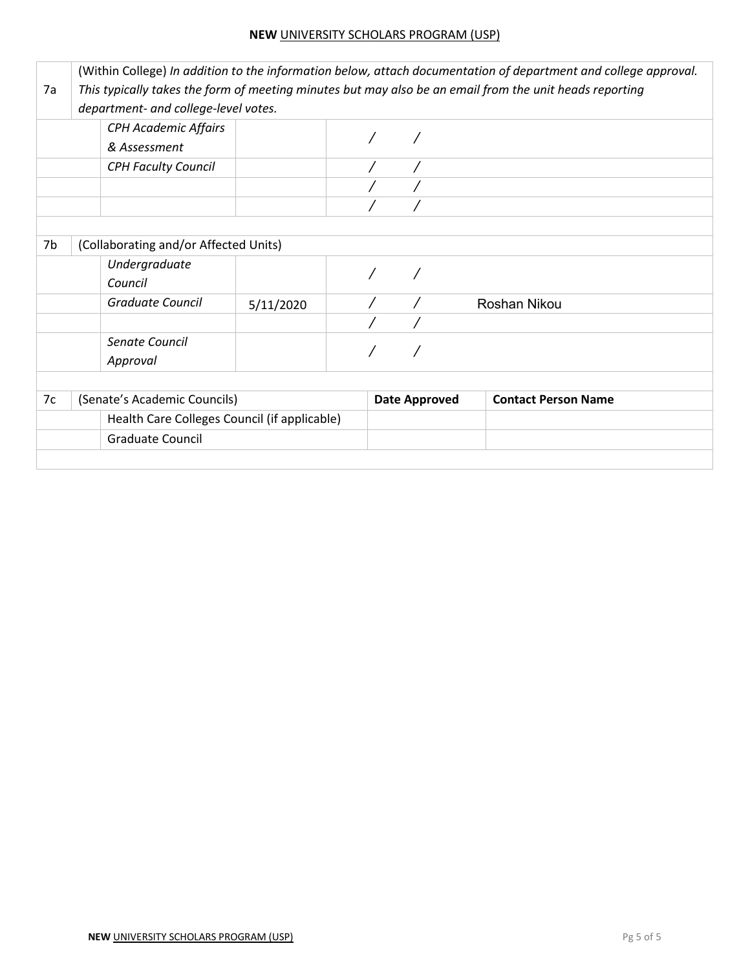#### **NEW** UNIVERSITY SCHOLARS PROGRAM (USP)

|    | (Within College) In addition to the information below, attach documentation of department and college approval. |                                      |  |                      |                            |  |  |
|----|-----------------------------------------------------------------------------------------------------------------|--------------------------------------|--|----------------------|----------------------------|--|--|
| 7a | This typically takes the form of meeting minutes but may also be an email from the unit heads reporting         |                                      |  |                      |                            |  |  |
|    |                                                                                                                 | department- and college-level votes. |  |                      |                            |  |  |
|    | <b>CPH Academic Affairs</b><br>& Assessment                                                                     |                                      |  |                      |                            |  |  |
|    | <b>CPH Faculty Council</b>                                                                                      |                                      |  |                      |                            |  |  |
|    |                                                                                                                 |                                      |  |                      |                            |  |  |
|    |                                                                                                                 |                                      |  |                      |                            |  |  |
| 7b | (Collaborating and/or Affected Units)                                                                           |                                      |  |                      |                            |  |  |
|    | Undergraduate<br>Council                                                                                        |                                      |  |                      |                            |  |  |
|    | Graduate Council                                                                                                | 5/11/2020                            |  |                      | Roshan Nikou               |  |  |
|    |                                                                                                                 |                                      |  |                      |                            |  |  |
|    | Senate Council<br>Approval                                                                                      |                                      |  |                      |                            |  |  |
|    |                                                                                                                 |                                      |  |                      |                            |  |  |
| 7c | (Senate's Academic Councils)                                                                                    |                                      |  | <b>Date Approved</b> | <b>Contact Person Name</b> |  |  |
|    | Health Care Colleges Council (if applicable)                                                                    |                                      |  |                      |                            |  |  |
|    | <b>Graduate Council</b>                                                                                         |                                      |  |                      |                            |  |  |
|    |                                                                                                                 |                                      |  |                      |                            |  |  |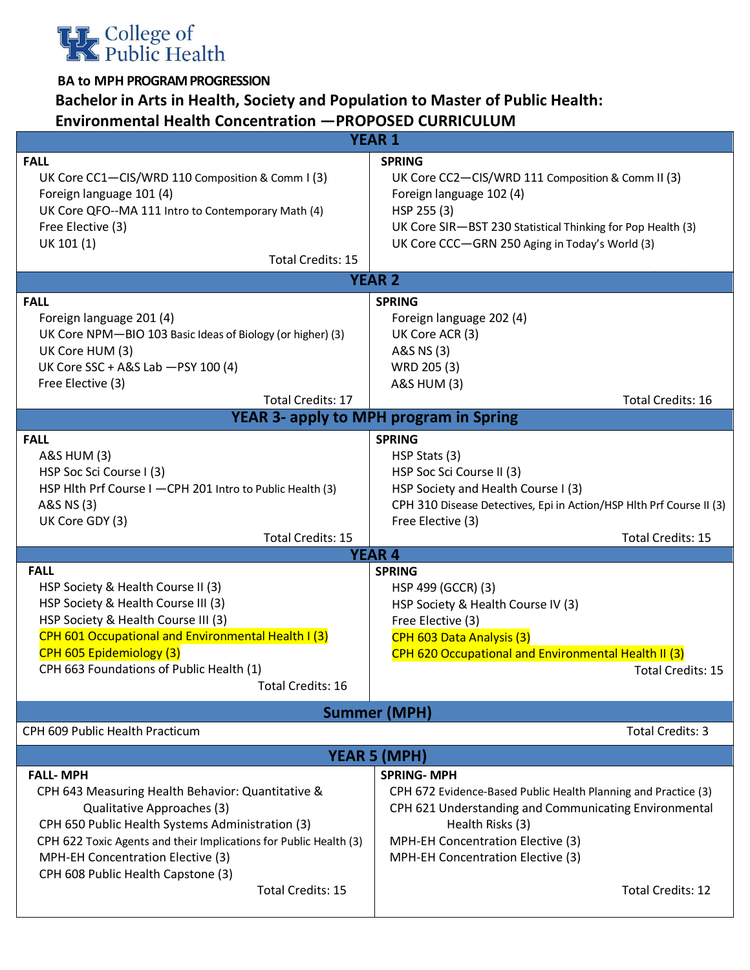

## **Bachelor in Arts in Health, Society and Population to Master of Public Health: Environmental Health Concentration —PROPOSED CURRICULUM**

| <b>YEAR 1</b>                                                                                                                                                                                                                                                                                          |                                                                                                                                                                                                                                                   |  |  |  |
|--------------------------------------------------------------------------------------------------------------------------------------------------------------------------------------------------------------------------------------------------------------------------------------------------------|---------------------------------------------------------------------------------------------------------------------------------------------------------------------------------------------------------------------------------------------------|--|--|--|
| <b>FALL</b><br>UK Core CC1-CIS/WRD 110 Composition & Comm I (3)<br>Foreign language 101 (4)<br>UK Core QFO--MA 111 Intro to Contemporary Math (4)<br>Free Elective (3)<br>UK 101 (1)<br><b>Total Credits: 15</b>                                                                                       | <b>SPRING</b><br>UK Core CC2-CIS/WRD 111 Composition & Comm II (3)<br>Foreign language 102 (4)<br>HSP 255 (3)<br>UK Core SIR-BST 230 Statistical Thinking for Pop Health (3)<br>UK Core CCC-GRN 250 Aging in Today's World (3)                    |  |  |  |
|                                                                                                                                                                                                                                                                                                        | <b>YEAR 2</b>                                                                                                                                                                                                                                     |  |  |  |
| <b>FALL</b><br>Foreign language 201 (4)<br>UK Core NPM-BIO 103 Basic Ideas of Biology (or higher) (3)<br>UK Core HUM (3)<br>UK Core SSC + A&S Lab - PSY 100 (4)<br>Free Elective (3)<br><b>Total Credits: 17</b>                                                                                       | <b>SPRING</b><br>Foreign language 202 (4)<br>UK Core ACR (3)<br>A&S NS (3)<br>WRD 205 (3)<br><b>A&amp;S HUM (3)</b><br><b>Total Credits: 16</b>                                                                                                   |  |  |  |
|                                                                                                                                                                                                                                                                                                        | <b>YEAR 3- apply to MPH program in Spring</b>                                                                                                                                                                                                     |  |  |  |
| <b>FALL</b><br>A&S HUM (3)<br>HSP Soc Sci Course I (3)<br>HSP Hlth Prf Course I -CPH 201 Intro to Public Health (3)<br>A&S NS (3)                                                                                                                                                                      | <b>SPRING</b><br>HSP Stats (3)<br>HSP Soc Sci Course II (3)<br>HSP Society and Health Course I (3)<br>CPH 310 Disease Detectives, Epi in Action/HSP Hlth Prf Course II (3)                                                                        |  |  |  |
| UK Core GDY (3)<br><b>Total Credits: 15</b>                                                                                                                                                                                                                                                            | Free Elective (3)<br><b>Total Credits: 15</b>                                                                                                                                                                                                     |  |  |  |
|                                                                                                                                                                                                                                                                                                        | <b>YEAR 4</b>                                                                                                                                                                                                                                     |  |  |  |
| <b>FALL</b><br>HSP Society & Health Course II (3)<br>HSP Society & Health Course III (3)<br>HSP Society & Health Course III (3)<br>CPH 601 Occupational and Environmental Health I (3)<br>CPH 605 Epidemiology (3)<br>CPH 663 Foundations of Public Health (1)<br><b>Total Credits: 16</b>             | <b>SPRING</b><br>HSP 499 (GCCR) (3)<br>HSP Society & Health Course IV (3)<br>Free Elective (3)<br>CPH 603 Data Analysis (3)<br>CPH 620 Occupational and Environmental Health II (3)<br><b>Total Credits: 15</b>                                   |  |  |  |
|                                                                                                                                                                                                                                                                                                        | <b>Summer (MPH)</b>                                                                                                                                                                                                                               |  |  |  |
| CPH 609 Public Health Practicum                                                                                                                                                                                                                                                                        | Total Credits: 3                                                                                                                                                                                                                                  |  |  |  |
|                                                                                                                                                                                                                                                                                                        | <b>YEAR 5 (MPH)</b>                                                                                                                                                                                                                               |  |  |  |
| <b>FALL-MPH</b><br>CPH 643 Measuring Health Behavior: Quantitative &<br>Qualitative Approaches (3)<br>CPH 650 Public Health Systems Administration (3)<br>CPH 622 Toxic Agents and their Implications for Public Health (3)<br>MPH-EH Concentration Elective (3)<br>CPH 608 Public Health Capstone (3) | <b>SPRING-MPH</b><br>CPH 672 Evidence-Based Public Health Planning and Practice (3)<br>CPH 621 Understanding and Communicating Environmental<br>Health Risks (3)<br>MPH-EH Concentration Elective (3)<br><b>MPH-EH Concentration Elective (3)</b> |  |  |  |
| <b>Total Credits: 15</b>                                                                                                                                                                                                                                                                               | <b>Total Credits: 12</b>                                                                                                                                                                                                                          |  |  |  |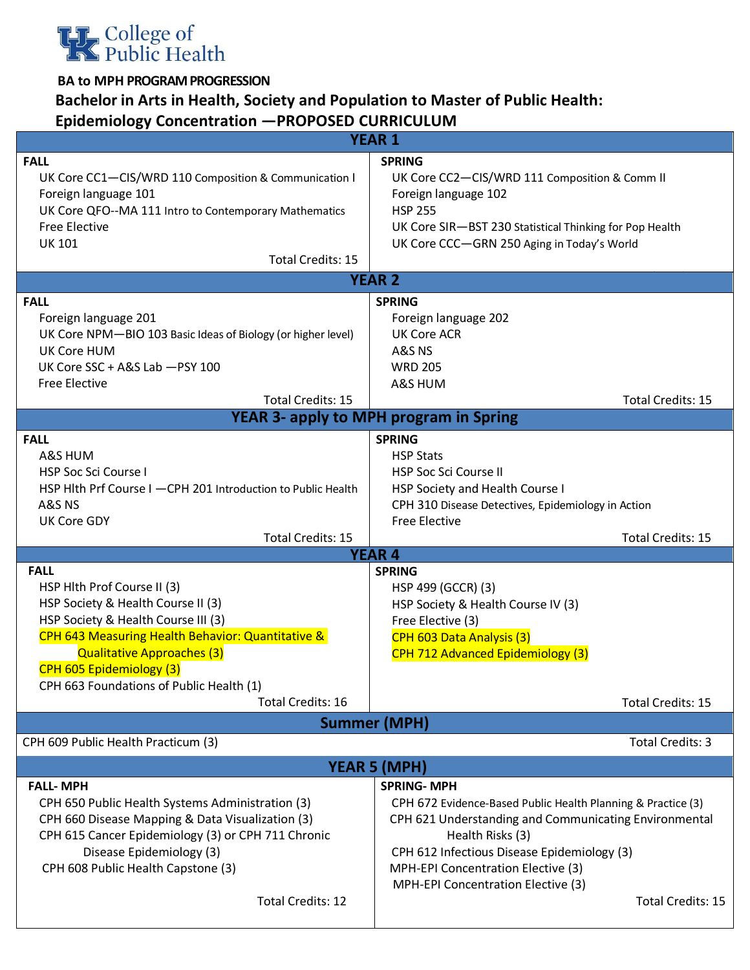

## **Bachelor in Arts in Health, Society and Population to Master of Public Health: Epidemiology Concentration —PROPOSED CURRICULUM**

|                                                                                                                                                                                                                                                                                                        | <b>YEAR 1</b>                                                                                                                                                                                                                                                                                                         |
|--------------------------------------------------------------------------------------------------------------------------------------------------------------------------------------------------------------------------------------------------------------------------------------------------------|-----------------------------------------------------------------------------------------------------------------------------------------------------------------------------------------------------------------------------------------------------------------------------------------------------------------------|
| <b>FALL</b><br>UK Core CC1-CIS/WRD 110 Composition & Communication I<br>Foreign language 101<br>UK Core QFO--MA 111 Intro to Contemporary Mathematics<br><b>Free Elective</b><br><b>UK 101</b><br><b>Total Credits: 15</b>                                                                             | <b>SPRING</b><br>UK Core CC2-CIS/WRD 111 Composition & Comm II<br>Foreign language 102<br><b>HSP 255</b><br>UK Core SIR-BST 230 Statistical Thinking for Pop Health<br>UK Core CCC-GRN 250 Aging in Today's World                                                                                                     |
|                                                                                                                                                                                                                                                                                                        | <b>YEAR 2</b>                                                                                                                                                                                                                                                                                                         |
| <b>FALL</b><br>Foreign language 201<br>UK Core NPM-BIO 103 Basic Ideas of Biology (or higher level)<br><b>UK Core HUM</b><br>UK Core SSC + A&S Lab - PSY 100<br><b>Free Elective</b><br><b>Total Credits: 15</b>                                                                                       | <b>SPRING</b><br>Foreign language 202<br><b>UK Core ACR</b><br>A&S NS<br><b>WRD 205</b><br>A&S HUM<br><b>Total Credits: 15</b>                                                                                                                                                                                        |
|                                                                                                                                                                                                                                                                                                        | <b>YEAR 3- apply to MPH program in Spring</b>                                                                                                                                                                                                                                                                         |
| <b>FALL</b><br>A&S HUM<br><b>HSP Soc Sci Course I</b><br>HSP Hith Prf Course I -CPH 201 Introduction to Public Health<br>A&S NS<br><b>UK Core GDY</b><br><b>Total Credits: 15</b>                                                                                                                      | <b>SPRING</b><br><b>HSP Stats</b><br><b>HSP Soc Sci Course II</b><br>HSP Society and Health Course I<br>CPH 310 Disease Detectives, Epidemiology in Action<br><b>Free Elective</b><br><b>Total Credits: 15</b>                                                                                                        |
| <b>FALL</b>                                                                                                                                                                                                                                                                                            | <b>YEAR 4</b><br><b>SPRING</b>                                                                                                                                                                                                                                                                                        |
| HSP Hlth Prof Course II (3)<br>HSP Society & Health Course II (3)<br>HSP Society & Health Course III (3)<br>CPH 643 Measuring Health Behavior: Quantitative &<br><b>Qualitative Approaches (3)</b><br>CPH 605 Epidemiology (3)<br>CPH 663 Foundations of Public Health (1)<br><b>Total Credits: 16</b> | HSP 499 (GCCR) (3)<br>HSP Society & Health Course IV (3)<br>Free Elective (3)<br>CPH 603 Data Analysis (3)<br>CPH 712 Advanced Epidemiology (3)<br><b>Total Credits: 15</b>                                                                                                                                           |
|                                                                                                                                                                                                                                                                                                        | <b>Summer (MPH)</b>                                                                                                                                                                                                                                                                                                   |
| CPH 609 Public Health Practicum (3)                                                                                                                                                                                                                                                                    | <b>Total Credits: 3</b>                                                                                                                                                                                                                                                                                               |
|                                                                                                                                                                                                                                                                                                        | <b>YEAR 5 (MPH)</b>                                                                                                                                                                                                                                                                                                   |
| <b>FALL-MPH</b><br>CPH 650 Public Health Systems Administration (3)<br>CPH 660 Disease Mapping & Data Visualization (3)<br>CPH 615 Cancer Epidemiology (3) or CPH 711 Chronic<br>Disease Epidemiology (3)<br>CPH 608 Public Health Capstone (3)<br><b>Total Credits: 12</b>                            | <b>SPRING-MPH</b><br>CPH 672 Evidence-Based Public Health Planning & Practice (3)<br>CPH 621 Understanding and Communicating Environmental<br>Health Risks (3)<br>CPH 612 Infectious Disease Epidemiology (3)<br>MPH-EPI Concentration Elective (3)<br><b>MPH-EPI Concentration Elective (3)</b><br>Total Credits: 15 |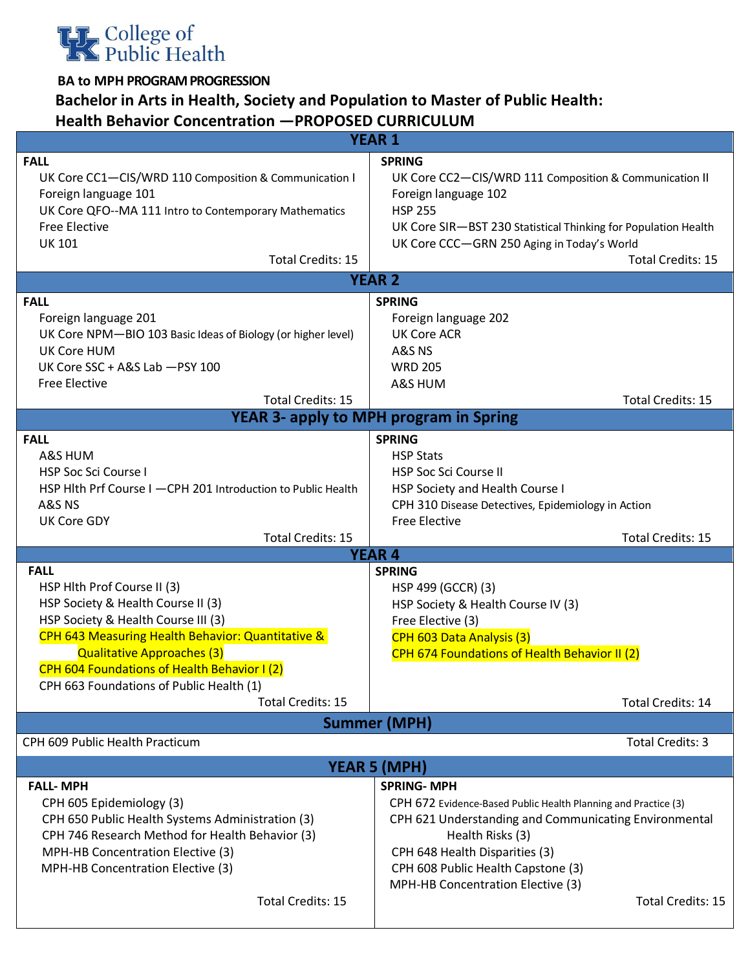

## **Bachelor in Arts in Health, Society and Population to Master of Public Health: Health Behavior Concentration —PROPOSED CURRICULUM**

|                                                              | <b>YEAR 1</b>                                                  |
|--------------------------------------------------------------|----------------------------------------------------------------|
| <b>FALL</b>                                                  | <b>SPRING</b>                                                  |
| UK Core CC1-CIS/WRD 110 Composition & Communication I        | UK Core CC2-CIS/WRD 111 Composition & Communication II         |
| Foreign language 101                                         | Foreign language 102                                           |
| UK Core QFO--MA 111 Intro to Contemporary Mathematics        | <b>HSP 255</b>                                                 |
| <b>Free Elective</b>                                         | UK Core SIR-BST 230 Statistical Thinking for Population Health |
| <b>UK 101</b>                                                | UK Core CCC-GRN 250 Aging in Today's World                     |
| <b>Total Credits: 15</b>                                     | <b>Total Credits: 15</b>                                       |
|                                                              | <b>YEAR 2</b>                                                  |
| <b>FALL</b>                                                  | <b>SPRING</b>                                                  |
| Foreign language 201                                         | Foreign language 202                                           |
| UK Core NPM-BIO 103 Basic Ideas of Biology (or higher level) | <b>UK Core ACR</b>                                             |
| UK Core HUM                                                  | A&S NS                                                         |
| UK Core SSC + A&S Lab - PSY 100                              | <b>WRD 205</b>                                                 |
| <b>Free Elective</b>                                         | A&S HUM                                                        |
| <b>Total Credits: 15</b>                                     | <b>Total Credits: 15</b>                                       |
|                                                              | <b>YEAR 3- apply to MPH program in Spring</b>                  |
| <b>FALL</b>                                                  | <b>SPRING</b>                                                  |
| A&S HUM                                                      | <b>HSP Stats</b>                                               |
| HSP Soc Sci Course I                                         | <b>HSP Soc Sci Course II</b>                                   |
| HSP Hith Prf Course I -CPH 201 Introduction to Public Health | HSP Society and Health Course I                                |
| A&S NS                                                       | CPH 310 Disease Detectives, Epidemiology in Action             |
| <b>UK Core GDY</b>                                           | <b>Free Elective</b>                                           |
| <b>Total Credits: 15</b>                                     | <b>Total Credits: 15</b>                                       |
|                                                              | <b>YEAR 4</b>                                                  |
| <b>FALL</b>                                                  | <b>SPRING</b>                                                  |
| HSP Hlth Prof Course II (3)                                  | HSP 499 (GCCR) (3)                                             |
| HSP Society & Health Course II (3)                           | HSP Society & Health Course IV (3)                             |
| HSP Society & Health Course III (3)                          | Free Elective (3)                                              |
| CPH 643 Measuring Health Behavior: Quantitative &            | CPH 603 Data Analysis (3)                                      |
| Qualitative Approaches (3)                                   | CPH 674 Foundations of Health Behavior II (2)                  |
| CPH 604 Foundations of Health Behavior I (2)                 |                                                                |
| CPH 663 Foundations of Public Health (1)                     |                                                                |
| <b>Total Credits: 15</b>                                     | <b>Total Credits: 14</b>                                       |
| CPH 609 Public Health Practicum                              | <b>Summer (MPH)</b><br><b>Total Credits: 3</b>                 |
|                                                              |                                                                |
|                                                              | <b>YEAR 5 (MPH)</b>                                            |
| <b>FALL-MPH</b>                                              | <b>SPRING-MPH</b>                                              |
| CPH 605 Epidemiology (3)                                     | CPH 672 Evidence-Based Public Health Planning and Practice (3) |
| CPH 650 Public Health Systems Administration (3)             | CPH 621 Understanding and Communicating Environmental          |
| CPH 746 Research Method for Health Behavior (3)              | Health Risks (3)                                               |
| MPH-HB Concentration Elective (3)                            | CPH 648 Health Disparities (3)                                 |
| MPH-HB Concentration Elective (3)                            | CPH 608 Public Health Capstone (3)                             |
|                                                              | MPH-HB Concentration Elective (3)                              |
| <b>Total Credits: 15</b>                                     | Total Credits: 15                                              |
|                                                              |                                                                |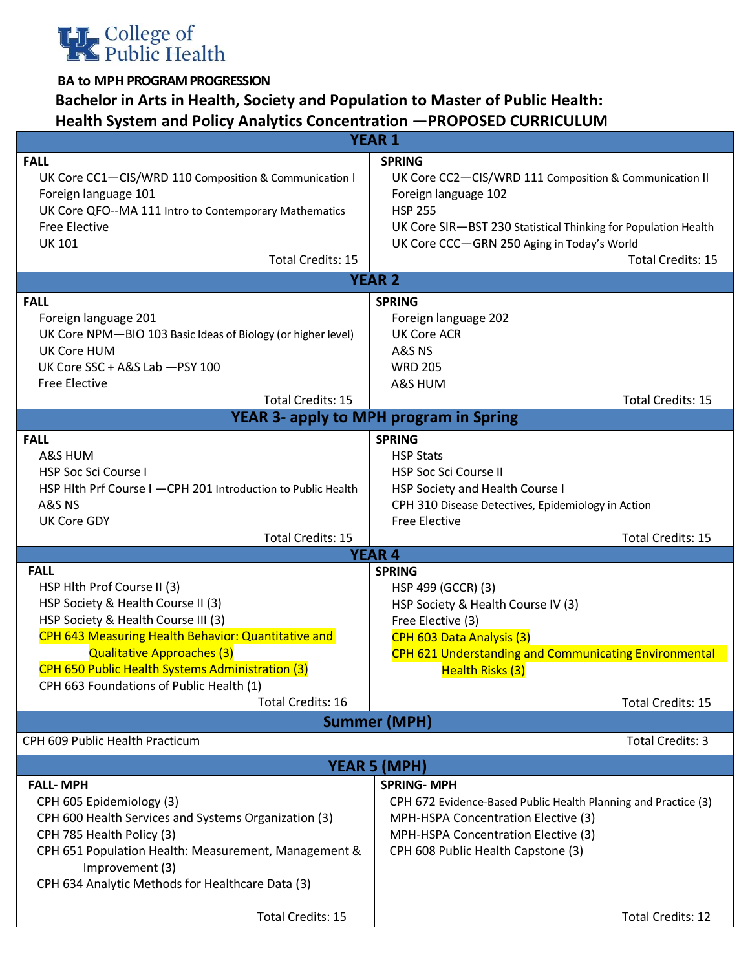

## **Bachelor in Arts in Health, Society and Population to Master of Public Health: Health System and Policy Analytics Concentration —PROPOSED CURRICULUM**

| <b>YEAR 1</b>                                                                                                                                                                                                                                                                                                                                   |                                                                                                                                                                                                                                                                                |  |  |  |  |
|-------------------------------------------------------------------------------------------------------------------------------------------------------------------------------------------------------------------------------------------------------------------------------------------------------------------------------------------------|--------------------------------------------------------------------------------------------------------------------------------------------------------------------------------------------------------------------------------------------------------------------------------|--|--|--|--|
| <b>FALL</b><br>UK Core CC1-CIS/WRD 110 Composition & Communication I<br>Foreign language 101<br>UK Core QFO--MA 111 Intro to Contemporary Mathematics<br><b>Free Elective</b><br><b>UK 101</b><br><b>Total Credits: 15</b>                                                                                                                      | <b>SPRING</b><br>UK Core CC2-CIS/WRD 111 Composition & Communication II<br>Foreign language 102<br><b>HSP 255</b><br>UK Core SIR-BST 230 Statistical Thinking for Population Health<br>UK Core CCC-GRN 250 Aging in Today's World<br><b>Total Credits: 15</b><br><b>YEAR 2</b> |  |  |  |  |
| <b>FALL</b>                                                                                                                                                                                                                                                                                                                                     | <b>SPRING</b>                                                                                                                                                                                                                                                                  |  |  |  |  |
| Foreign language 201<br>UK Core NPM-BIO 103 Basic Ideas of Biology (or higher level)<br>UK Core HUM<br>UK Core SSC + A&S Lab - PSY 100<br><b>Free Elective</b><br><b>Total Credits: 15</b>                                                                                                                                                      | Foreign language 202<br><b>UK Core ACR</b><br>A&S <sub>NS</sub><br><b>WRD 205</b><br>A&S HUM<br><b>Total Credits: 15</b>                                                                                                                                                       |  |  |  |  |
| <b>YEAR 3- apply to MPH program in Spring</b>                                                                                                                                                                                                                                                                                                   |                                                                                                                                                                                                                                                                                |  |  |  |  |
| <b>FALL</b><br>A&S HUM<br><b>HSP Soc Sci Course I</b><br>HSP Hith Prf Course I -CPH 201 Introduction to Public Health<br>A&S <sub>NS</sub>                                                                                                                                                                                                      | <b>SPRING</b><br><b>HSP Stats</b><br><b>HSP Soc Sci Course II</b><br>HSP Society and Health Course I<br>CPH 310 Disease Detectives, Epidemiology in Action                                                                                                                     |  |  |  |  |
| <b>UK Core GDY</b><br><b>Total Credits: 15</b>                                                                                                                                                                                                                                                                                                  | <b>Free Elective</b><br><b>Total Credits: 15</b>                                                                                                                                                                                                                               |  |  |  |  |
|                                                                                                                                                                                                                                                                                                                                                 | <b>YEAR 4</b>                                                                                                                                                                                                                                                                  |  |  |  |  |
| <b>FALL</b><br>HSP Hlth Prof Course II (3)<br>HSP Society & Health Course II (3)<br>HSP Society & Health Course III (3)<br>CPH 643 Measuring Health Behavior: Quantitative and<br><b>Qualitative Approaches (3)</b><br>CPH 650 Public Health Systems Administration (3)<br>CPH 663 Foundations of Public Health (1)<br><b>Total Credits: 16</b> | <b>SPRING</b><br>HSP 499 (GCCR) (3)<br>HSP Society & Health Course IV (3)<br>Free Elective (3)<br>CPH 603 Data Analysis (3)<br>CPH 621 Understanding and Communicating Environmental<br>Health Risks (3)<br><b>Total Credits: 15</b>                                           |  |  |  |  |
|                                                                                                                                                                                                                                                                                                                                                 | <b>Summer (MPH)</b>                                                                                                                                                                                                                                                            |  |  |  |  |
| CPH 609 Public Health Practicum                                                                                                                                                                                                                                                                                                                 | Total Credits: 3                                                                                                                                                                                                                                                               |  |  |  |  |
|                                                                                                                                                                                                                                                                                                                                                 | <b>YEAR 5 (MPH)</b>                                                                                                                                                                                                                                                            |  |  |  |  |
| <b>FALL-MPH</b><br>CPH 605 Epidemiology (3)<br>CPH 600 Health Services and Systems Organization (3)<br>CPH 785 Health Policy (3)<br>CPH 651 Population Health: Measurement, Management &<br>Improvement (3)<br>CPH 634 Analytic Methods for Healthcare Data (3)                                                                                 | <b>SPRING-MPH</b><br>CPH 672 Evidence-Based Public Health Planning and Practice (3)<br>MPH-HSPA Concentration Elective (3)<br>MPH-HSPA Concentration Elective (3)<br>CPH 608 Public Health Capstone (3)                                                                        |  |  |  |  |
| Total Credits: 15                                                                                                                                                                                                                                                                                                                               | Total Credits: 12                                                                                                                                                                                                                                                              |  |  |  |  |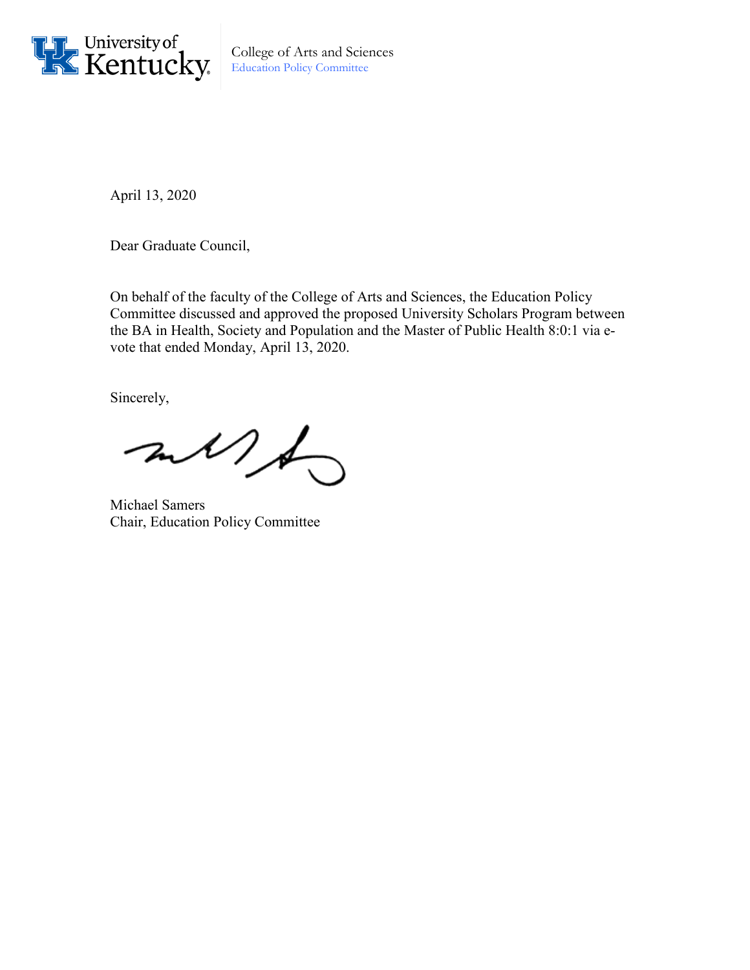

College of Arts and Sciences Education Policy Committee

April 13, 2020

Dear Graduate Council,

On behalf of the faculty of the College of Arts and Sciences, the Education Policy Committee discussed and approved the proposed University Scholars Program between the BA in Health, Society and Population and the Master of Public Health 8:0:1 via evote that ended Monday, April 13, 2020.

Sincerely,

 $\n *and h o*  $\rightarrow$$ 

Michael Samers Chair, Education Policy Committee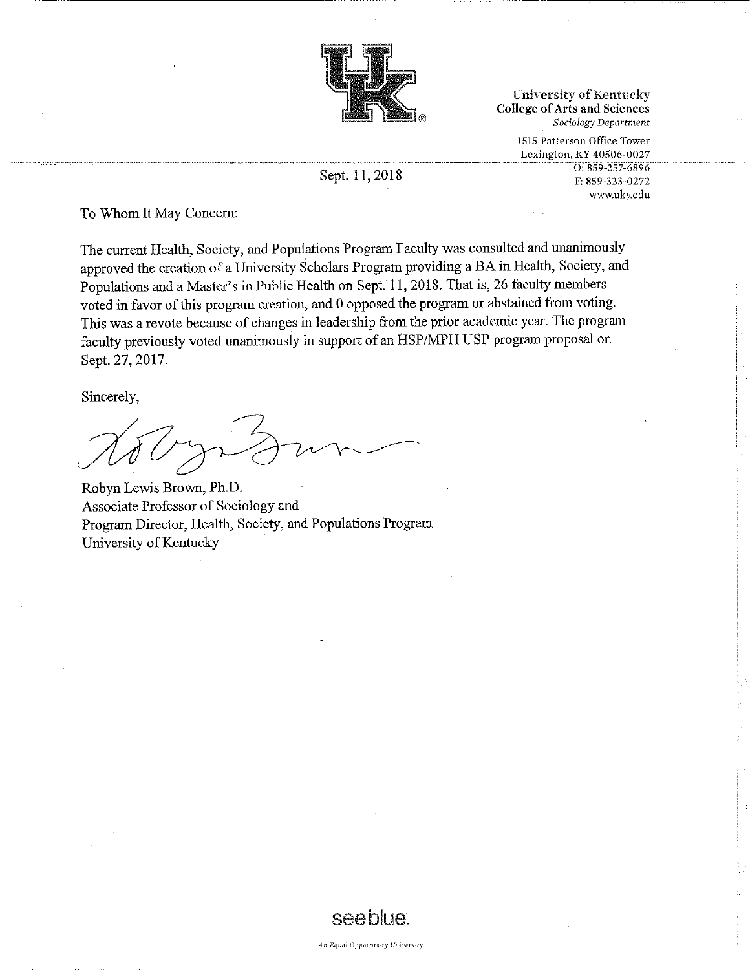

**University of Kentucky College of Arts and Sciences** Sociology Department

> 1515 Patterson Office Tower Lexington, KY 40506-0027 O: 859-257-6896 F: 859-323-0272 www.ukv.edu

Sept. 11, 2018

To Whom It May Concern:

The current Health, Society, and Populations Program Faculty was consulted and unanimously approved the creation of a University Scholars Program providing a BA in Health, Society, and Populations and a Master's in Public Health on Sept. 11, 2018. That is, 26 faculty members voted in favor of this program creation, and 0 opposed the program or abstained from voting. This was a revote because of changes in leadership from the prior academic year. The program faculty previously voted unanimously in support of an HSP/MPH USP program proposal on Sept. 27, 2017.

Sincerely,

Robyn Lewis Brown, Ph.D. Associate Professor of Sociology and Program Director, Health, Society, and Populations Program University of Kentucky



An Equal Opportunity University